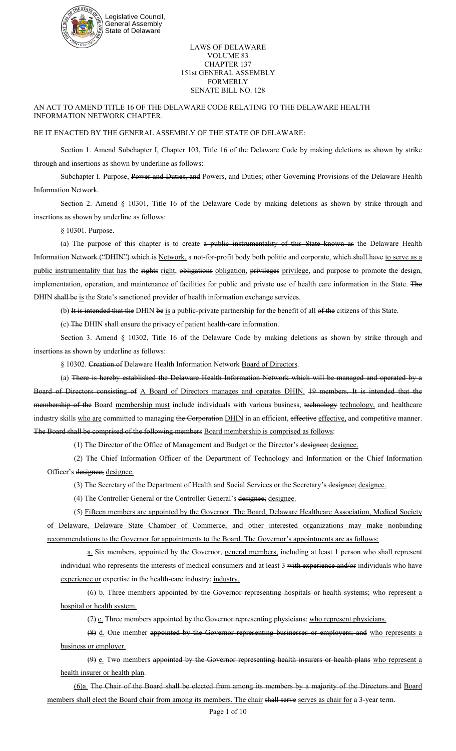

## LAWS OF DELAWARE VOLUME 83 CHAPTER 137 151st GENERAL ASSEMBLY FORMERLY SENATE BILL NO. 128

AN ACT TO AMEND TITLE 16 OF THE DELAWARE CODE RELATING TO THE DELAWARE HEALTH INFORMATION NETWORK CHAPTER.

## BE IT ENACTED BY THE GENERAL ASSEMBLY OF THE STATE OF DELAWARE:

Section 1. Amend Subchapter I, Chapter 103, Title 16 of the Delaware Code by making deletions as shown by strike through and insertions as shown by underline as follows:

Subchapter I. Purpose, Power and Duties, and Powers, and Duties; other Governing Provisions of the Delaware Health Information Network.

Section 2. Amend § 10301, Title 16 of the Delaware Code by making deletions as shown by strike through and insertions as shown by underline as follows:

§ 10301. Purpose.

(a) The purpose of this chapter is to create a public instrumentality of this State known as the Delaware Health Information Network ("DHIN") which is Network, a not-for-profit body both politic and corporate, which shall have to serve as a public instrumentality that has the rights right, obligations obligation, privileges privilege, and purpose to promote the design, implementation, operation, and maintenance of facilities for public and private use of health care information in the State. The DHIN shall be is the State's sanctioned provider of health information exchange services.

(b) It is intended that the DHIN be is a public-private partnership for the benefit of all of the citizens of this State.

(c) The DHIN shall ensure the privacy of patient health-care information.

Section 3. Amend § 10302, Title 16 of the Delaware Code by making deletions as shown by strike through and insertions as shown by underline as follows:

§ 10302. Creation of Delaware Health Information Network Board of Directors.

(a) There is hereby established the Delaware Health Information Network which will be managed and operated by a Board of Directors consisting of A Board of Directors manages and operates DHIN. 19 members. It is intended that the membership of the Board membership must include individuals with various business, technology technology, and healthcare industry skills who are committed to managing the Corporation DHIN in an efficient, effective effective, and competitive manner. The Board shall be comprised of the following members Board membership is comprised as follows:

(1) The Director of the Office of Management and Budget or the Director's designee; designee.

(2) The Chief Information Officer of the Department of Technology and Information or the Chief Information Officer's designee; designee.

(3) The Secretary of the Department of Health and Social Services or the Secretary's designee; designee.

(4) The Controller General or the Controller General's designee; designee.

(5) Fifteen members are appointed by the Governor. The Board, Delaware Healthcare Association, Medical Society of Delaware, Delaware State Chamber of Commerce, and other interested organizations may make nonbinding recommendations to the Governor for appointments to the Board. The Governor's appointments are as follows:

a. Six members, appointed by the Governor, general members, including at least 1 person who shall represent individual who represents the interests of medical consumers and at least 3 with experience and/or individuals who have experience or expertise in the health-care industry; industry.

(6) b. Three members appointed by the Governor representing hospitals or health systems; who represent a hospital or health system.

 $(7)$   $c$ . Three members appointed by the Governor representing physicians: who represent physicians.

(8) d. One member appointed by the Governor representing businesses or employers; and who represents a business or employer.

(9) e. Two members appointed by the Governor representing health insurers or health plans who represent a health insurer or health plan.

(6)a. The Chair of the Board shall be elected from among its members by a majority of the Directors and Board members shall elect the Board chair from among its members. The chair shall serve serves as chair for a 3-year term.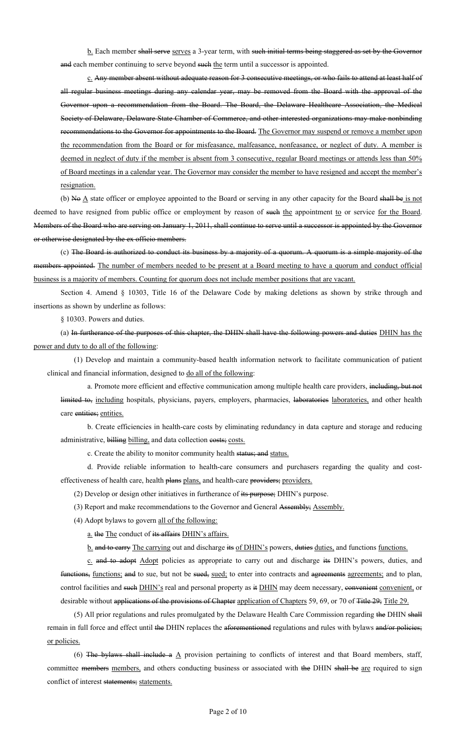b. Each member shall serve serves a 3-year term, with such initial terms being staggered as set by the Governor and each member continuing to serve beyond such the term until a successor is appointed.

c. Any member absent without adequate reason for 3 consecutive meetings, or who fails to attend at least half of all regular business meetings during any calendar year, may be removed from the Board with the approval of the Governor upon a recommendation from the Board. The Board, the Delaware Healthcare Association, the Medical Society of Delaware, Delaware State Chamber of Commerce, and other interested organizations may make nonbinding recommendations to the Governor for appointments to the Board. The Governor may suspend or remove a member upon the recommendation from the Board or for misfeasance, malfeasance, nonfeasance, or neglect of duty. A member is deemed in neglect of duty if the member is absent from 3 consecutive, regular Board meetings or attends less than 50% of Board meetings in a calendar year. The Governor may consider the member to have resigned and accept the member's resignation.

(b) No  $\triangle$  state officer or employee appointed to the Board or serving in any other capacity for the Board shall be is not deemed to have resigned from public office or employment by reason of such the appointment to or service for the Board. Members of the Board who are serving on January 1, 2011, shall continue to serve until a successor is appointed by the Governor or otherwise designated by the ex officio members.

(c) The Board is authorized to conduct its business by a majority of a quorum. A quorum is a simple majority of the members appointed. The number of members needed to be present at a Board meeting to have a quorum and conduct official business is a majority of members. Counting for quorum does not include member positions that are vacant.

Section 4. Amend § 10303, Title 16 of the Delaware Code by making deletions as shown by strike through and insertions as shown by underline as follows:

§ 10303. Powers and duties.

(a) In furtherance of the purposes of this chapter, the DHIN shall have the following powers and duties DHIN has the power and duty to do all of the following:

(1) Develop and maintain a community-based health information network to facilitate communication of patient clinical and financial information, designed to do all of the following:

a. Promote more efficient and effective communication among multiple health care providers, including, but not limited to, including hospitals, physicians, payers, employers, pharmacies, laboratories laboratories, and other health care entities; entities.

b. Create efficiencies in health-care costs by eliminating redundancy in data capture and storage and reducing administrative, billing billing, and data collection costs; costs.

c. Create the ability to monitor community health status; and status.

d. Provide reliable information to health-care consumers and purchasers regarding the quality and costeffectiveness of health care, health plans plans, and health-care providers; providers.

(2) Develop or design other initiatives in furtherance of its purpose; DHIN's purpose.

(3) Report and make recommendations to the Governor and General Assembly; Assembly.

(4) Adopt bylaws to govern all of the following:

a. the The conduct of its affairs DHIN's affairs.

b. and to carry The carrying out and discharge its of DHIN's powers, duties duties, and functions functions.

c. and to adopt Adopt policies as appropriate to carry out and discharge its DHIN's powers, duties, and functions, functions; and to sue, but not be sued, sued; to enter into contracts and agreements agreements; and to plan, control facilities and such DHIN's real and personal property as it DHIN may deem necessary, convenient convenient, or desirable without applications of the provisions of Chapter application of Chapters 59, 69, or 70 of Title 29; Title 29.

(5) All prior regulations and rules promulgated by the Delaware Health Care Commission regarding the DHIN shall remain in full force and effect until the DHIN replaces the aforementioned regulations and rules with bylaws and/or policies; or policies.

(6) The bylaws shall include a  $\underline{A}$  provision pertaining to conflicts of interest and that Board members, staff, committee members members, and others conducting business or associated with the DHIN shall be are required to sign conflict of interest statements; statements.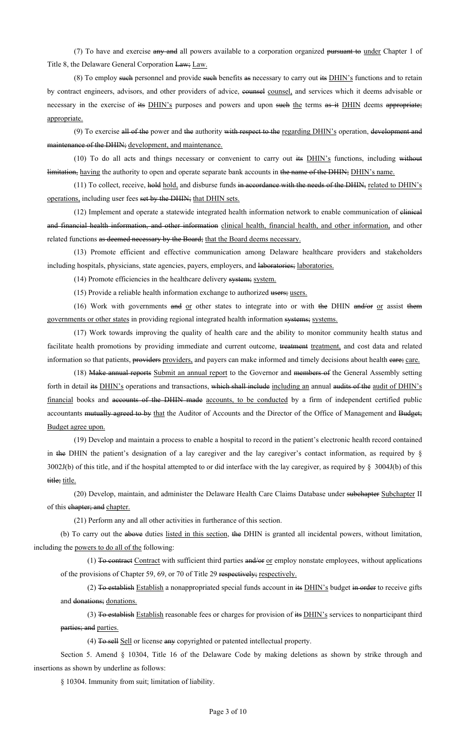(7) To have and exercise any and all powers available to a corporation organized pursuant to under Chapter 1 of Title 8, the Delaware General Corporation Law; Law.

(8) To employ such personnel and provide such benefits as necessary to carry out its DHIN's functions and to retain by contract engineers, advisors, and other providers of advice, counsel counsel, and services which it deems advisable or necessary in the exercise of its DHIN's purposes and powers and upon such the terms as it DHIN deems appropriate; appropriate.

(9) To exercise all of the power and the authority with respect to the regarding DHIN's operation, development and maintenance of the DHIN; development, and maintenance.

(10) To do all acts and things necessary or convenient to carry out its DHIN's functions, including without limitation, having the authority to open and operate separate bank accounts in the name of the DHIN; DHIN's name.

(11) To collect, receive, hold hold, and disburse funds in accordance with the needs of the DHIN, related to DHIN's operations, including user fees set by the DHIN; that DHIN sets.

(12) Implement and operate a statewide integrated health information network to enable communication of clinical and financial health information, and other information clinical health, financial health, and other information, and other related functions as deemed necessary by the Board; that the Board deems necessary.

(13) Promote efficient and effective communication among Delaware healthcare providers and stakeholders including hospitals, physicians, state agencies, payers, employers, and laboratories; laboratories.

(14) Promote efficiencies in the healthcare delivery system; system.

(15) Provide a reliable health information exchange to authorized users; users.

(16) Work with governments and or other states to integrate into or with the DHIN and/or or assist them governments or other states in providing regional integrated health information systems; systems.

(17) Work towards improving the quality of health care and the ability to monitor community health status and facilitate health promotions by providing immediate and current outcome, treatment treatment, and cost data and related information so that patients, providers providers, and payers can make informed and timely decisions about health eare; care.

(18) Make annual reports Submit an annual report to the Governor and members of the General Assembly setting forth in detail its **DHIN's** operations and transactions, which shall include including an annual audits of the audit of DHIN's financial books and accounts of the DHIN made accounts, to be conducted by a firm of independent certified public accountants mutually agreed to by that the Auditor of Accounts and the Director of the Office of Management and Budget; Budget agree upon.

(19) Develop and maintain a process to enable a hospital to record in the patient's electronic health record contained in the DHIN the patient's designation of a lay caregiver and the lay caregiver's contact information, as required by § 3002J(b) of this title, and if the hospital attempted to or did interface with the lay caregiver, as required by § 3004J(b) of this title; title.

(20) Develop, maintain, and administer the Delaware Health Care Claims Database under subchapter Subchapter II of this chapter; and chapter.

(21) Perform any and all other activities in furtherance of this section.

(b) To carry out the above duties listed in this section, the DHIN is granted all incidental powers, without limitation, including the powers to do all of the following:

(1) To contract Contract with sufficient third parties and/or or employ nonstate employees, without applications of the provisions of Chapter 59, 69, or 70 of Title 29 respectively; respectively.

(2) To establish Establish a nonappropriated special funds account in its  $DHIN's$  budget in order to receive gifts and donations; donations.

(3) To establish Establish reasonable fees or charges for provision of its DHIN's services to nonparticipant third parties; and parties.

(4) To sell Sell or license any copyrighted or patented intellectual property.

Section 5. Amend § 10304, Title 16 of the Delaware Code by making deletions as shown by strike through and insertions as shown by underline as follows:

§ 10304. Immunity from suit; limitation of liability.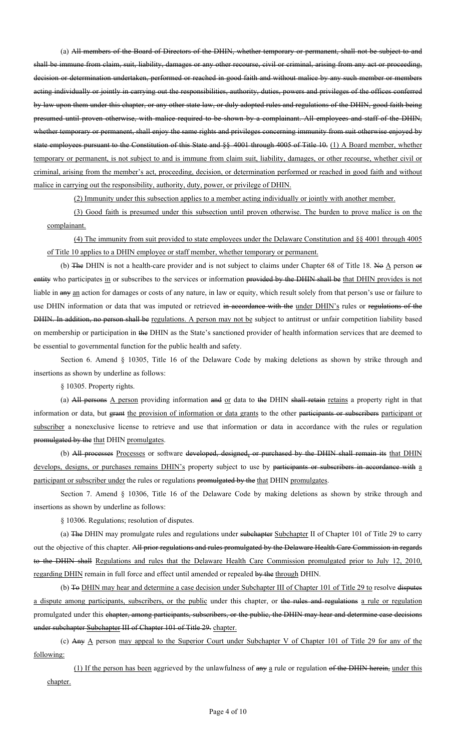(a) All members of the Board of Directors of the DHIN, whether temporary or permanent, shall not be subject to and shall be immune from claim, suit, liability, damages or any other recourse, civil or criminal, arising from any act or proceeding, decision or determination undertaken, performed or reached in good faith and without malice by any such member or members acting individually or jointly in carrying out the responsibilities, authority, duties, powers and privileges of the offices conferred by law upon them under this chapter, or any other state law, or duly adopted rules and regulations of the DHIN, good faith being presumed until proven otherwise, with malice required to be shown by a complainant. All employees and staff of the DHIN, whether temporary or permanent, shall enjoy the same rights and privileges concerning immunity from suit otherwise enjoyed by state employees pursuant to the Constitution of this State and §§ 4001 through 4005 of Title 10. (1) A Board member, whether temporary or permanent, is not subject to and is immune from claim suit, liability, damages, or other recourse, whether civil or criminal, arising from the member's act, proceeding, decision, or determination performed or reached in good faith and without malice in carrying out the responsibility, authority, duty, power, or privilege of DHIN.

(2) Immunity under this subsection applies to a member acting individually or jointly with another member.

(3) Good faith is presumed under this subsection until proven otherwise. The burden to prove malice is on the complainant.

(4) The immunity from suit provided to state employees under the Delaware Constitution and §§ 4001 through 4005 of Title 10 applies to a DHIN employee or staff member, whether temporary or permanent.

(b) The DHIN is not a health-care provider and is not subject to claims under Chapter 68 of Title 18. No  $\triangle$  person or entity who participates in or subscribes to the services or information provided by the DHIN shall be that DHIN provides is not liable in any an action for damages or costs of any nature, in law or equity, which result solely from that person's use or failure to use DHIN information or data that was imputed or retrieved in accordance with the under DHIN's rules or regulations of the DHIN. In addition, no person shall be regulations. A person may not be subject to antitrust or unfair competition liability based on membership or participation in the DHIN as the State's sanctioned provider of health information services that are deemed to be essential to governmental function for the public health and safety.

Section 6. Amend § 10305, Title 16 of the Delaware Code by making deletions as shown by strike through and insertions as shown by underline as follows:

§ 10305. Property rights.

(a) All persons  $\Delta$  person providing information and  $\alpha$  data to the DHIN shall retains a property right in that information or data, but grant the provision of information or data grants to the other participants or subscribers participant or subscriber a nonexclusive license to retrieve and use that information or data in accordance with the rules or regulation promulgated by the that DHIN promulgates.

(b) All processes Processes or software developed, designed, or purchased by the DHIN shall remain its that DHIN develops, designs, or purchases remains DHIN's property subject to use by participants or subscribers in accordance with a participant or subscriber under the rules or regulations promulgated by the that DHIN promulgates.

Section 7. Amend § 10306, Title 16 of the Delaware Code by making deletions as shown by strike through and insertions as shown by underline as follows:

§ 10306. Regulations; resolution of disputes.

(a) The DHIN may promulgate rules and regulations under subchapter Subchapter II of Chapter 101 of Title 29 to carry out the objective of this chapter. All prior regulations and rules promulgated by the Delaware Health Care Commission in regards to the DHIN shall Regulations and rules that the Delaware Health Care Commission promulgated prior to July 12, 2010, regarding DHIN remain in full force and effect until amended or repealed by the through DHIN.

(b) To DHIN may hear and determine a case decision under Subchapter III of Chapter 101 of Title 29 to resolve disputes a dispute among participants, subscribers, or the public under this chapter, or the rules and regulations a rule or regulation promulgated under this chapter, among participants, subscribers, or the public, the DHIN may hear and determine case decisions under subchapter Subchapter III of Chapter 101 of Title 29. chapter.

(c) Any  $\underline{A}$  person may appeal to the Superior Court under Subchapter V of Chapter 101 of Title 29 for any of the following:

(1) If the person has been aggrieved by the unlawfulness of any a rule or regulation of the DHIN herein, under this chapter.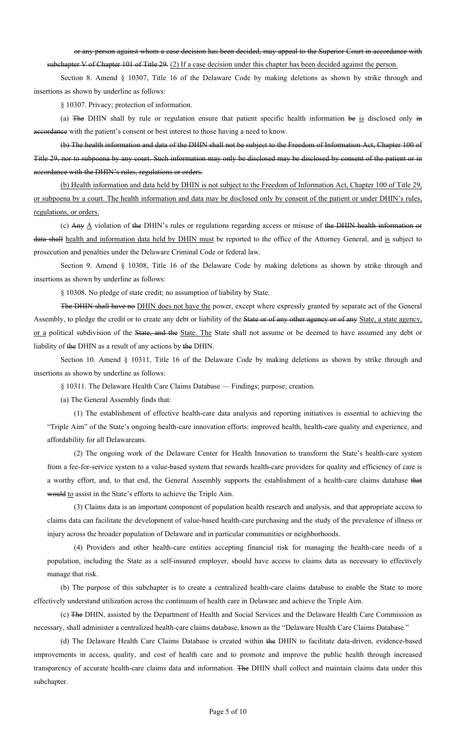or any person against whom a case decision has been decided, may appeal to the Superior Court in accordance with subchapter V of Chapter 101 of Title 29. (2) If a case decision under this chapter has been decided against the person.

Section 8. Amend § 10307, Title 16 of the Delaware Code by making deletions as shown by strike through and insertions as shown by underline as follows:

§ 10307. Privacy; protection of information.

(a) The DHIN shall by rule or regulation ensure that patient specific health information be is disclosed only in accordance with the patient's consent or best interest to those having a need to know.

(b) The health information and data of the DHIN shall not be subject to the Freedom of Information Act, Chapter 100 of Title 29, nor to subpoena by any court. Such information may only be disclosed may be disclosed by consent of the patient or in accordance with the DHIN's rules, regulations or orders.

(b) Health information and data held by DHIN is not subject to the Freedom of Information Act, Chapter 100 of Title 29, or subpoena by a court. The health information and data may be disclosed only by consent of the patient or under DHIN's rules, regulations, or orders.

(c) Any  $\underline{A}$  violation of the DHIN's rules or regulations regarding access or misuse of the DHIN health information or data shall health and information data held by DHIN must be reported to the office of the Attorney General, and is subject to prosecution and penalties under the Delaware Criminal Code or federal law.

Section 9. Amend § 10308, Title 16 of the Delaware Code by making deletions as shown by strike through and insertions as shown by underline as follows:

§ 10308. No pledge of state credit; no assumption of liability by State.

The DHIN shall have no DHIN does not have the power, except where expressly granted by separate act of the General Assembly, to pledge the credit or to create any debt or liability of the State or of any other agency or of any State, a state agency, or a political subdivision of the State, and the State. The State shall not assume or be deemed to have assumed any debt or liability of the DHIN as a result of any actions by the DHIN.

Section 10. Amend § 10311, Title 16 of the Delaware Code by making deletions as shown by strike through and insertions as shown by underline as follows:

§ 10311. The Delaware Health Care Claims Database — Findings; purpose; creation.

(a) The General Assembly finds that:

(1) The establishment of effective health-care data analysis and reporting initiatives is essential to achieving the "Triple Aim" of the State's ongoing health-care innovation efforts: improved health, health-care quality and experience, and affordability for all Delawareans.

(2) The ongoing work of the Delaware Center for Health Innovation to transform the State's health-care system from a fee-for-service system to a value-based system that rewards health-care providers for quality and efficiency of care is a worthy effort, and, to that end, the General Assembly supports the establishment of a health-care claims database that would to assist in the State's efforts to achieve the Triple Aim.

(3) Claims data is an important component of population health research and analysis, and that appropriate access to claims data can facilitate the development of value-based health-care purchasing and the study of the prevalence of illness or injury across the broader population of Delaware and in particular communities or neighborhoods.

(4) Providers and other health-care entities accepting financial risk for managing the health-care needs of a population, including the State as a self-insured employer, should have access to claims data as necessary to effectively manage that risk.

(b) The purpose of this subchapter is to create a centralized health-care claims database to enable the State to more effectively understand utilization across the continuum of health care in Delaware and achieve the Triple Aim.

(c) The DHIN, assisted by the Department of Health and Social Services and the Delaware Health Care Commission as necessary, shall administer a centralized health-care claims database, known as the "Delaware Health Care Claims Database."

(d) The Delaware Health Care Claims Database is created within the DHIN to facilitate data-driven, evidence-based improvements in access, quality, and cost of health care and to promote and improve the public health through increased transparency of accurate health-care claims data and information. The DHIN shall collect and maintain claims data under this subchapter.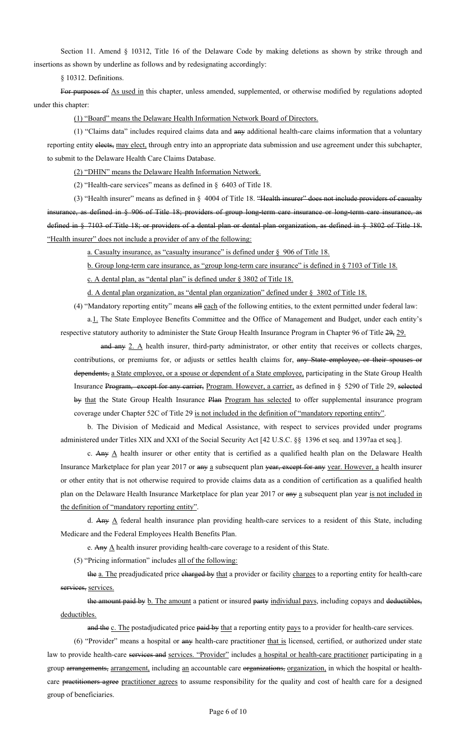Section 11. Amend § 10312, Title 16 of the Delaware Code by making deletions as shown by strike through and insertions as shown by underline as follows and by redesignating accordingly:

§ 10312. Definitions.

For purposes of As used in this chapter, unless amended, supplemented, or otherwise modified by regulations adopted under this chapter:

(1) "Board" means the Delaware Health Information Network Board of Directors.

(1) "Claims data" includes required claims data and any additional health-care claims information that a voluntary reporting entity elects, may elect, through entry into an appropriate data submission and use agreement under this subchapter, to submit to the Delaware Health Care Claims Database.

(2) "DHIN" means the Delaware Health Information Network.

(2) "Health-care services" means as defined in § 6403 of Title 18.

(3) "Health insurer" means as defined in § 4004 of Title 18. "Health insurer" does not include providers of casualty insurance, as defined in § 906 of Title 18; providers of group long-term care insurance or long-term care insurance, as defined in § 7103 of Title 18; or providers of a dental plan or dental plan organization, as defined in § 3802 of Title 18. "Health insurer" does not include a provider of any of the following:

a. Casualty insurance, as "casualty insurance" is defined under § 906 of Title 18.

b. Group long-term care insurance, as "group long-term care insurance" is defined in § 7103 of Title 18.

c. A dental plan, as "dental plan" is defined under § 3802 of Title 18.

d. A dental plan organization, as "dental plan organization" defined under § 3802 of Title 18.

(4) "Mandatory reporting entity" means all each of the following entities, to the extent permitted under federal law:

a.<sup>1</sup>. The State Employee Benefits Committee and the Office of Management and Budget, under each entity's respective statutory authority to administer the State Group Health Insurance Program in Chapter 96 of Title 29, 29.

and any 2. A health insurer, third-party administrator, or other entity that receives or collects charges, contributions, or premiums for, or adjusts or settles health claims for, any State employee, or their spouses or dependents, a State employee, or a spouse or dependent of a State employee, participating in the State Group Health Insurance Program, except for any carrier, Program. However, a carrier, as defined in § 5290 of Title 29, selected by that the State Group Health Insurance Plan Program has selected to offer supplemental insurance program coverage under Chapter 52C of Title 29 is not included in the definition of "mandatory reporting entity".

b. The Division of Medicaid and Medical Assistance, with respect to services provided under programs administered under Titles XIX and XXI of the Social Security Act [42 U.S.C. §§ 1396 et seq. and 1397aa et seq.].

c. Any  $\Delta$  health insurer or other entity that is certified as a qualified health plan on the Delaware Health Insurance Marketplace for plan year 2017 or any a subsequent plan year, except for any year. However, a health insurer or other entity that is not otherwise required to provide claims data as a condition of certification as a qualified health plan on the Delaware Health Insurance Marketplace for plan year 2017 or any a subsequent plan year is not included in the definition of "mandatory reporting entity".

d. Any  $\Delta$  federal health insurance plan providing health-care services to a resident of this State, including Medicare and the Federal Employees Health Benefits Plan.

e. Any  $\triangle$  health insurer providing health-care coverage to a resident of this State.

(5) "Pricing information" includes all of the following:

the a. The preadjudicated price charged by that a provider or facility charges to a reporting entity for health-care services, services.

the amount paid by b. The amount a patient or insured party individual pays, including copays and deductibles, deductibles.

and the c. The postadjudicated price paid by that a reporting entity pays to a provider for health-care services.

(6) "Provider" means a hospital or any health-care practitioner that is licensed, certified, or authorized under state law to provide health-care services and services. "Provider" includes a hospital or health-care practitioner participating in a group arrangements, arrangement, including an accountable care organizations, organization, in which the hospital or healthcare practitioners agree practitioner agrees to assume responsibility for the quality and cost of health care for a designed group of beneficiaries.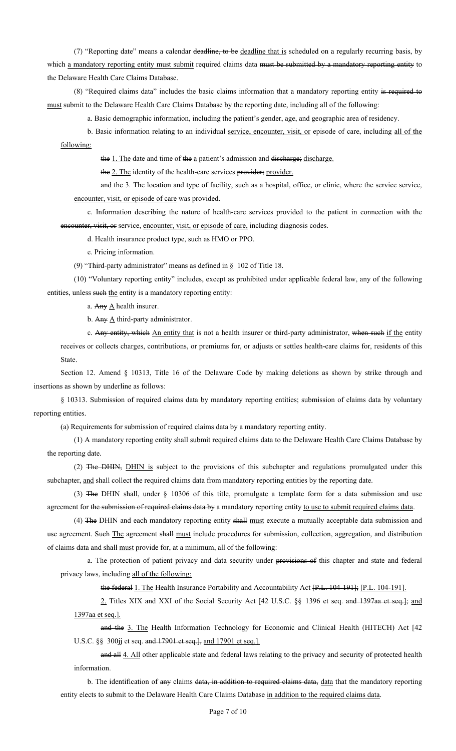(7) "Reporting date" means a calendar deadline, to be deadline that is scheduled on a regularly recurring basis, by which a mandatory reporting entity must submit required claims data must be submitted by a mandatory reporting entity to the Delaware Health Care Claims Database.

(8) "Required claims data" includes the basic claims information that a mandatory reporting entity is required to must submit to the Delaware Health Care Claims Database by the reporting date, including all of the following:

a. Basic demographic information, including the patient's gender, age, and geographic area of residency.

b. Basic information relating to an individual service, encounter, visit, or episode of care, including all of the following:

the 1. The date and time of the a patient's admission and discharge; discharge.

the 2. The identity of the health-care services provider; provider.

and the 3. The location and type of facility, such as a hospital, office, or clinic, where the service service, encounter, visit, or episode of care was provided.

c. Information describing the nature of health-care services provided to the patient in connection with the encounter, visit, or service, encounter, visit, or episode of care, including diagnosis codes.

d. Health insurance product type, such as HMO or PPO.

e. Pricing information.

(9) "Third-party administrator" means as defined in § 102 of Title 18.

(10) "Voluntary reporting entity" includes, except as prohibited under applicable federal law, any of the following entities, unless such the entity is a mandatory reporting entity:

a. Any  $\underline{A}$  health insurer.

b. Any  $\underline{A}$  third-party administrator.

c. Any entity, which An entity that is not a health insurer or third-party administrator, when such if the entity receives or collects charges, contributions, or premiums for, or adjusts or settles health-care claims for, residents of this State.

Section 12. Amend § 10313, Title 16 of the Delaware Code by making deletions as shown by strike through and insertions as shown by underline as follows:

§ 10313. Submission of required claims data by mandatory reporting entities; submission of claims data by voluntary reporting entities.

(a) Requirements for submission of required claims data by a mandatory reporting entity.

(1) A mandatory reporting entity shall submit required claims data to the Delaware Health Care Claims Database by the reporting date.

(2) The DHIN, DHIN is subject to the provisions of this subchapter and regulations promulgated under this subchapter, and shall collect the required claims data from mandatory reporting entities by the reporting date.

(3) The DHIN shall, under § 10306 of this title, promulgate a template form for a data submission and use agreement for the submission of required claims data by a mandatory reporting entity to use to submit required claims data.

(4) The DHIN and each mandatory reporting entity shall must execute a mutually acceptable data submission and use agreement. Such The agreement shall must include procedures for submission, collection, aggregation, and distribution of claims data and shall must provide for, at a minimum, all of the following:

a. The protection of patient privacy and data security under provisions of this chapter and state and federal privacy laws, including all of the following:

the federal 1. The Health Insurance Portability and Accountability Act [P.L. 104-191]; [P.L. 104-191].

2. Titles XIX and XXI of the Social Security Act [42 U.S.C. §§ 1396 et seq. and 1397aa et seq.]; and 1397aa et seq.].

and the 3. The Health Information Technology for Economic and Clinical Health (HITECH) Act [42 U.S.C. §§ 300jj et seq. and 17901 et seq.], and 17901 et seq.].

and all  $4.$  All other applicable state and federal laws relating to the privacy and security of protected health information.

b. The identification of any claims data, in addition to required claims data, data that the mandatory reporting entity elects to submit to the Delaware Health Care Claims Database in addition to the required claims data.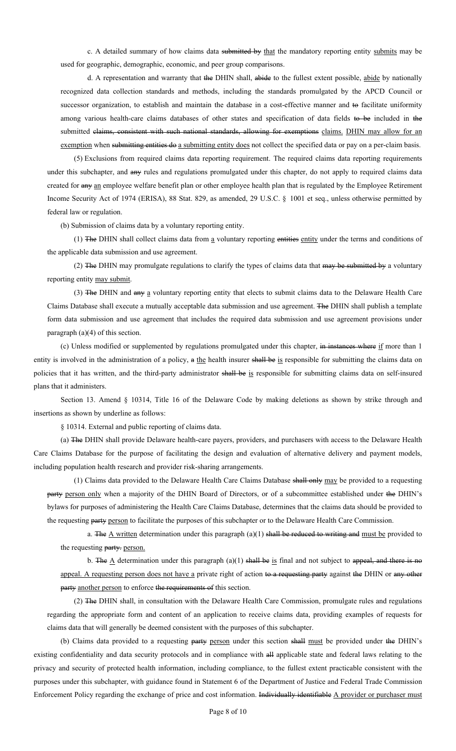c. A detailed summary of how claims data submitted by that the mandatory reporting entity submits may be used for geographic, demographic, economic, and peer group comparisons.

d. A representation and warranty that the DHIN shall, abide to the fullest extent possible, abide by nationally recognized data collection standards and methods, including the standards promulgated by the APCD Council or successor organization, to establish and maintain the database in a cost-effective manner and to facilitate uniformity among various health-care claims databases of other states and specification of data fields to be included in the submitted claims, consistent with such national standards, allowing for exemptions claims. DHIN may allow for an exemption when submitting entities do a submitting entity does not collect the specified data or pay on a per-claim basis.

(5) Exclusions from required claims data reporting requirement. The required claims data reporting requirements under this subchapter, and any rules and regulations promulgated under this chapter, do not apply to required claims data created for any an employee welfare benefit plan or other employee health plan that is regulated by the Employee Retirement Income Security Act of 1974 (ERISA), 88 Stat. 829, as amended, 29 U.S.C. § 1001 et seq., unless otherwise permitted by federal law or regulation.

(b) Submission of claims data by a voluntary reporting entity.

(1) The DHIN shall collect claims data from a voluntary reporting entities entity under the terms and conditions of the applicable data submission and use agreement.

(2) The DHIN may promulgate regulations to clarify the types of claims data that may be submitted by a voluntary reporting entity may submit.

(3) The DHIN and any a voluntary reporting entity that elects to submit claims data to the Delaware Health Care Claims Database shall execute a mutually acceptable data submission and use agreement. The DHIN shall publish a template form data submission and use agreement that includes the required data submission and use agreement provisions under paragraph (a)(4) of this section.

(c) Unless modified or supplemented by regulations promulgated under this chapter, in instances where if more than 1 entity is involved in the administration of a policy, a the health insurer shall be is responsible for submitting the claims data on policies that it has written, and the third-party administrator shall be is responsible for submitting claims data on self-insured plans that it administers.

Section 13. Amend § 10314, Title 16 of the Delaware Code by making deletions as shown by strike through and insertions as shown by underline as follows:

§ 10314. External and public reporting of claims data.

(a) The DHIN shall provide Delaware health-care payers, providers, and purchasers with access to the Delaware Health Care Claims Database for the purpose of facilitating the design and evaluation of alternative delivery and payment models, including population health research and provider risk-sharing arrangements.

(1) Claims data provided to the Delaware Health Care Claims Database shall only may be provided to a requesting party person only when a majority of the DHIN Board of Directors, or of a subcommittee established under the DHIN's bylaws for purposes of administering the Health Care Claims Database, determines that the claims data should be provided to the requesting party person to facilitate the purposes of this subchapter or to the Delaware Health Care Commission.

a. The  $\Delta$  written determination under this paragraph (a)(1) shall be reduced to writing and must be provided to the requesting party. person.

b. The  $\Delta$  determination under this paragraph (a)(1) shall be is final and not subject to appeal, and there is no appeal. A requesting person does not have a private right of action to a requesting party against the DHIN or any other party another person to enforce the requirements of this section.

(2) The DHIN shall, in consultation with the Delaware Health Care Commission, promulgate rules and regulations regarding the appropriate form and content of an application to receive claims data, providing examples of requests for claims data that will generally be deemed consistent with the purposes of this subchapter.

(b) Claims data provided to a requesting party person under this section shall must be provided under the DHIN's existing confidentiality and data security protocols and in compliance with all applicable state and federal laws relating to the privacy and security of protected health information, including compliance, to the fullest extent practicable consistent with the purposes under this subchapter, with guidance found in Statement 6 of the Department of Justice and Federal Trade Commission Enforcement Policy regarding the exchange of price and cost information. Individually identifiable A provider or purchaser must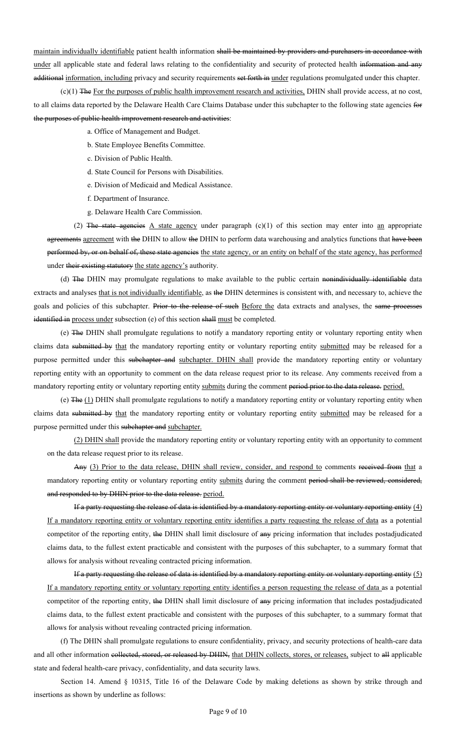maintain individually identifiable patient health information shall be maintained by providers and purchasers in accordance with under all applicable state and federal laws relating to the confidentiality and security of protected health information and any additional information, including privacy and security requirements set forth in under regulations promulgated under this chapter.

(c)(1) The For the purposes of public health improvement research and activities, DHIN shall provide access, at no cost, to all claims data reported by the Delaware Health Care Claims Database under this subchapter to the following state agencies for the purposes of public health improvement research and activities:

a. Office of Management and Budget.

- b. State Employee Benefits Committee.
- c. Division of Public Health.
- d. State Council for Persons with Disabilities.
- e. Division of Medicaid and Medical Assistance.
- f. Department of Insurance.
- g. Delaware Health Care Commission.

(2) The state agencies  $\Delta$  state agency under paragraph (c)(1) of this section may enter into an appropriate agreements agreement with the DHIN to allow the DHIN to perform data warehousing and analytics functions that have been performed by, or on behalf of, these state agencies the state agency, or an entity on behalf of the state agency, has performed under their existing statutory the state agency's authority.

(d) The DHIN may promulgate regulations to make available to the public certain nonindividually identifiable data extracts and analyses that is not individually identifiable, as the DHIN determines is consistent with, and necessary to, achieve the goals and policies of this subchapter. Prior to the release of such Before the data extracts and analyses, the same processes identified in process under subsection (e) of this section shall must be completed.

(e) The DHIN shall promulgate regulations to notify a mandatory reporting entity or voluntary reporting entity when claims data submitted by that the mandatory reporting entity or voluntary reporting entity submitted may be released for a purpose permitted under this subchapter and subchapter. DHIN shall provide the mandatory reporting entity or voluntary reporting entity with an opportunity to comment on the data release request prior to its release. Any comments received from a mandatory reporting entity or voluntary reporting entity submits during the comment period prior to the data release. period.

(e) The (1) DHIN shall promulgate regulations to notify a mandatory reporting entity or voluntary reporting entity when claims data submitted by that the mandatory reporting entity or voluntary reporting entity submitted may be released for a purpose permitted under this subchapter and subchapter.

(2) DHIN shall provide the mandatory reporting entity or voluntary reporting entity with an opportunity to comment on the data release request prior to its release.

Any (3) Prior to the data release, DHIN shall review, consider, and respond to comments received from that a mandatory reporting entity or voluntary reporting entity submits during the comment period shall be reviewed, considered, and responded to by DHIN prior to the data release. period.

If a party requesting the release of data is identified by a mandatory reporting entity or voluntary reporting entity (4) If a mandatory reporting entity or voluntary reporting entity identifies a party requesting the release of data as a potential competitor of the reporting entity, the DHIN shall limit disclosure of any pricing information that includes postadjudicated claims data, to the fullest extent practicable and consistent with the purposes of this subchapter, to a summary format that allows for analysis without revealing contracted pricing information.

If a party requesting the release of data is identified by a mandatory reporting entity or voluntary reporting entity (5) If a mandatory reporting entity or voluntary reporting entity identifies a person requesting the release of data as a potential competitor of the reporting entity, the DHIN shall limit disclosure of any pricing information that includes postadjudicated claims data, to the fullest extent practicable and consistent with the purposes of this subchapter, to a summary format that allows for analysis without revealing contracted pricing information.

(f) The DHIN shall promulgate regulations to ensure confidentiality, privacy, and security protections of health-care data and all other information collected, stored, or released by DHIN, that DHIN collects, stores, or releases, subject to all applicable state and federal health-care privacy, confidentiality, and data security laws.

Section 14. Amend § 10315, Title 16 of the Delaware Code by making deletions as shown by strike through and insertions as shown by underline as follows: